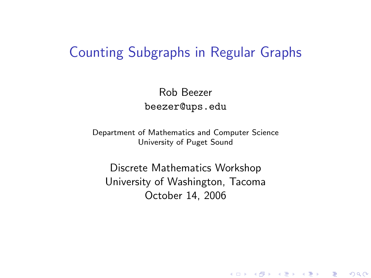### Counting Subgraphs in Regular Graphs

Rob Beezer beezer@ups.edu

Department of Mathematics and Computer Science University of Puget Sound

<span id="page-0-0"></span>Discrete Mathematics Workshop University of Washington, Tacoma October 14, 2006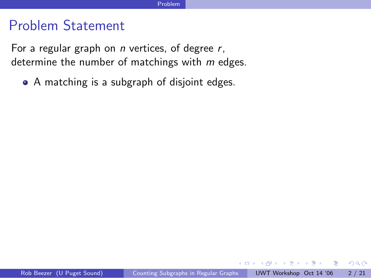### Problem Statement

For a regular graph on  $n$  vertices, of degree  $r$ , determine the number of matchings with  $m$  edges.

A matching is a subgraph of disjoint edges.

**∢ ⊡** 

 $QQ$ 

 $\equiv$ 

ヨメ メラメ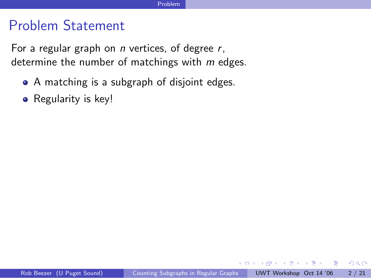### Problem Statement

For a regular graph on  $n$  vertices, of degree  $r$ , determine the number of matchings with  $m$  edges.

- A matching is a subgraph of disjoint edges.
- Regularity is key!

4 0 1

ラメ メラメ

- 3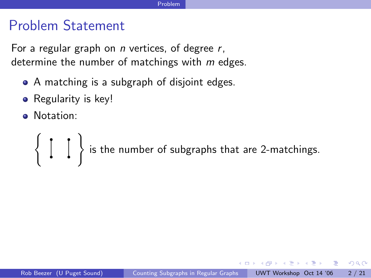## Problem Statement

For a regular graph on  $n$  vertices, of degree  $r$ , determine the number of matchings with  $m$  edges.

- A matching is a subgraph of disjoint edges.
- Regularity is key!
- **•** Notation:

 $($   $,$   $,$   $)$ is the number of subgraphs that are 2-matchings.

医氯化苯 医心室

 $\Omega$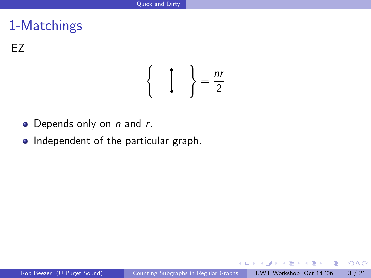EZ

$$
\left\{\begin{array}{c}\n\mathbf{1} \\
\mathbf{2}\n\end{array}\right\} = \frac{nr}{2}
$$

- $\bullet$  Depends only on *n* and *r*.
- Independent of the particular graph.

4.0.3

Э×  $\rightarrow$   $\equiv$   $\rightarrow$   $QQ$ 

画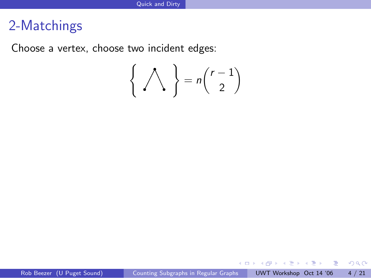Choose a vertex, choose two incident edges:

$$
\left\{\bigwedge\right\} = n\binom{r-1}{2}
$$

 $A\equiv\mathbf{1}+\mathbf{1}+\mathbf{2}+\mathbf{1}$ 

 $\sim$ 

4.0.3

重

 $299$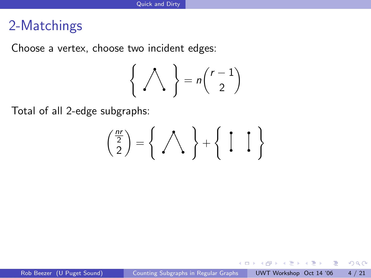Choose a vertex, choose two incident edges:

$$
\left\{\bigwedge\right\} = n\binom{r-1}{2}
$$

Total of all 2-edge subgraphs:

$$
\binom{\frac{n r}{2}}{2} = \left\{ \begin{array}{c} \bigwedge \\ \bigwedge \end{array} \right\} + \left\{ \begin{array}{c} \left[ \begin{array}{c} \ \ \end{array} \right] \\
$$

4.0.3

 $299$ 

D.

ヨメ メラメ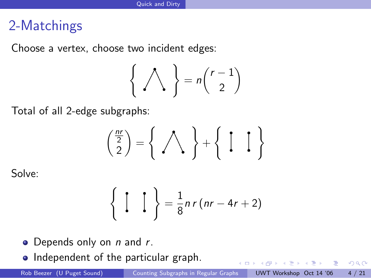Choose a vertex, choose two incident edges:

$$
\left\{\bigwedge\right\} = n\binom{r-1}{2}
$$

Total of all 2-edge subgraphs:

$$
\binom{\frac{n r}{2}}{2} = \left\{ \begin{array}{c} \bigwedge \\ \bigwedge \end{array} \right\} + \left\{ \begin{array}{c} \bigwedge \\ \bigwedge \end{array} \right\}
$$

Solve:

$$
\left\{\begin{array}{c}\begin{array}{c}\begin{array}{c}\end{array}\\ \end{array}\right\}=\frac{1}{8}nr(nr-4r+2)
$$

- $\bullet$  Depends only on *n* and *r*.
- Independent of the particular graph.

4. 0. 3.

画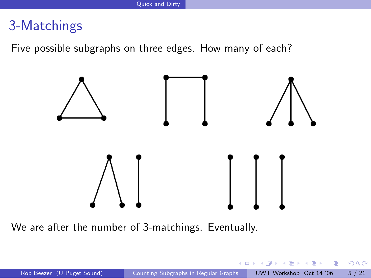Five possible subgraphs on three edges. How many of each?



We are after the number of 3-matchings. Eventually.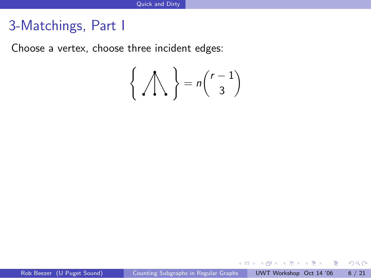# 3-Matchings, Part I

Choose a vertex, choose three incident edges:

$$
\left\{\bigwedge\right\} = n\binom{r-1}{3}
$$

 $\mathcal{A} \cong \mathcal{B} \times \mathcal{A} \cong \mathcal{B}$ 

 $\rightarrow$ 

4 日下

 $299$ 

- 로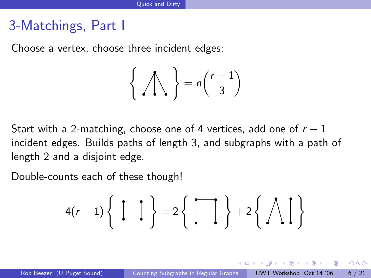# 3-Matchings, Part I

Choose a vertex, choose three incident edges:

$$
\left\{\bigwedge\right\} = n\binom{r-1}{3}
$$

Start with a 2-matching, choose one of 4 vertices, add one of  $r - 1$ incident edges. Builds paths of length 3, and subgraphs with a path of length 2 and a disjoint edge.

Double-counts each of these though!

$$
4(r-1)\left\{\begin{array}{cc} \left[\begin{array}{c} \end{array}\right] \end{array}\right\} = 2\left\{\begin{array}{c} \left[\begin{array}{c} \end{array}\right] \end{array}\right\} + 2\left\{\begin{array}{c} \bigwedge \end{array}\right\}\right\}
$$

**KENKEN E**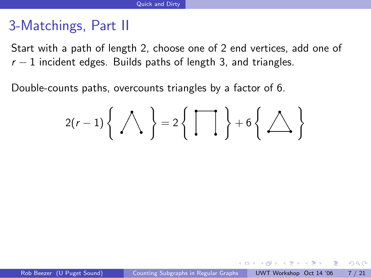# 3-Matchings, Part II

Start with a path of length 2, choose one of 2 end vertices, add one of  $r-1$  incident edges. Builds paths of length 3, and triangles.

Double-counts paths, overcounts triangles by a factor of 6.

$$
2(r-1)\left\{\bigwedge\right\} = 2\left\{\left\{\overline{\bigcup}\right\} + 6\left\{\bigtriangleup\right\}\right\}
$$

4 D F

化重压 化重压 三重

 $\Omega$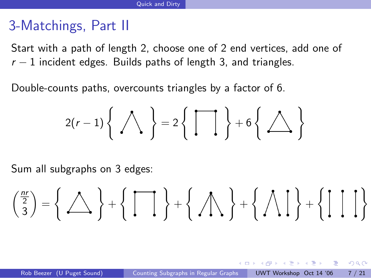# 3-Matchings, Part II

Start with a path of length 2, choose one of 2 end vertices, add one of  $r - 1$  incident edges. Builds paths of length 3, and triangles.

Double-counts paths, overcounts triangles by a factor of 6.

$$
2(r-1)\left\{\bigwedge\right\} = 2\left\{\left\{\overline{\bigcup}\right\} + 6\left\{\bigtriangleup\right\}\right\}
$$

Sum all subgraphs on 3 edges:

$$
\binom{\frac{n r}{2}}{3}=\left\{\text{max}\right\}+\left\{\text{max}\right\}+\left\{\text{max}\right\}+\left\{\text{max}\right\}+\left\{\text{max}\right\}+\left\{\text{max}\right\}
$$

化重变 化重变

- 3

 $\Omega$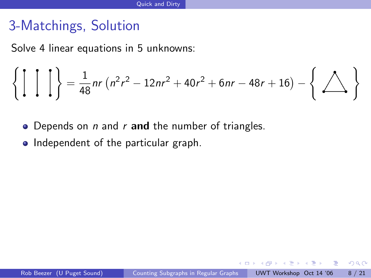# 3-Matchings, Solution

Solve 4 linear equations in 5 unknowns:

( ) = 1 48 nr n 2 r <sup>2</sup> − 12nr <sup>2</sup> + 40r <sup>2</sup> + 6nr − 48r + 16 − ( )

- Depends on  $n$  and  $r$  and the number of triangles.
- Independent of the particular graph.

4 D F

ラメ メラメ

画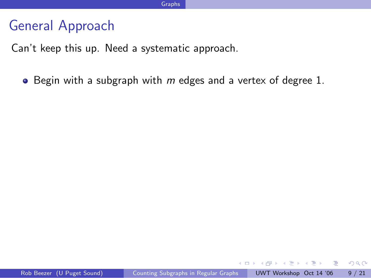## General Approach

Can't keep this up. Need a systematic approach.

 $\bullet$  Begin with a subgraph with m edges and a vertex of degree 1.

 $\eta$ an

- 30

化重复 化重变

4 D F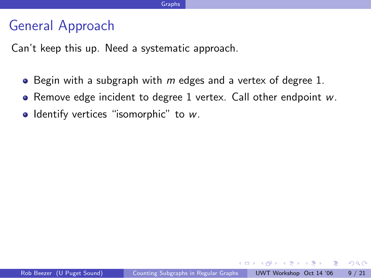## General Approach

Can't keep this up. Need a systematic approach.

- $\bullet$  Begin with a subgraph with m edges and a vertex of degree 1.
- Remove edge incident to degree 1 vertex. Call other endpoint w.
- **•** Identify vertices "isomorphic" to  $w$ .

化重新润滑脂

4 D F

- 30

 $\Omega$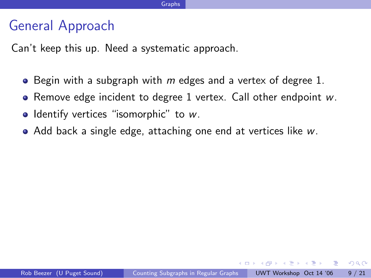## General Approach

Can't keep this up. Need a systematic approach.

- $\bullet$  Begin with a subgraph with m edges and a vertex of degree 1.
- Remove edge incident to degree 1 vertex. Call other endpoint  $w$ .
- **•** Identify vertices "isomorphic" to  $w$ .
- Add back a single edge, attaching one end at vertices like w.

化重新润滑脂

 $\equiv$   $\cap$   $\alpha$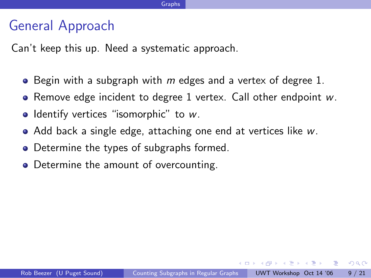## General Approach

Can't keep this up. Need a systematic approach.

- $\bullet$  Begin with a subgraph with m edges and a vertex of degree 1.
- Remove edge incident to degree 1 vertex. Call other endpoint  $w$ .
- **•** Identify vertices "isomorphic" to  $w$ .
- Add back a single edge, attaching one end at vertices like w.
- Determine the types of subgraphs formed.
- Determine the amount of overcounting.

化重新润滑脂

 $=$   $\Omega$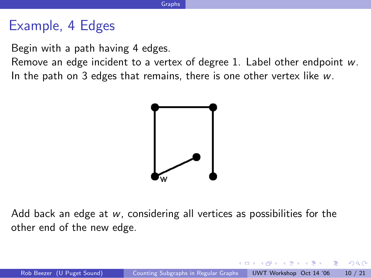### Example, 4 Edges

Begin with a path having 4 edges.

Remove an edge incident to a vertex of degree 1. Label other endpoint w. In the path on 3 edges that remains, there is one other vertex like  $w$ .



Add back an edge at w, considering all vertices as possibilities for the other end of the new edge.

 $200$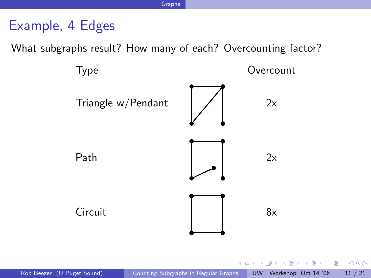# Example, 4 Edges

What subgraphs result? How many of each? Overcounting factor?



医单位 医单位

 $QQ$ 

画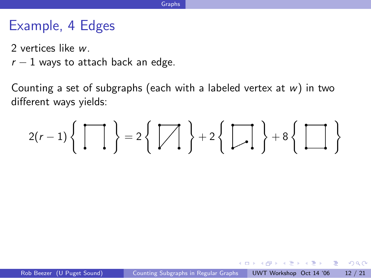# Example, 4 Edges

- 2 vertices like w.
- $r-1$  ways to attach back an edge.

Counting a set of subgraphs (each with a labeled vertex at  $w$ ) in two different ways yields:

$$
2(r-1)\left\{\left.\begin{matrix}\overrightarrow{\hspace{1cm}}\\ \overrightarrow{\hspace{1cm}}\end{matrix}\right\} = 2\left\{\left.\begin{matrix}\overrightarrow{\hspace{1cm}}\\ \overrightarrow{\hspace{1cm}}\end{matrix}\right\}\right. + 2\left\{\left.\begin{matrix}\overrightarrow{\hspace{1cm}}\\ \overrightarrow{\hspace{1cm}}\end{matrix}\right\} + 8\left\{\left.\begin{matrix}\overrightarrow{\hspace{1cm}}\\ \overrightarrow{\hspace{1cm}}\end{matrix}\right\}\right\}
$$

4 D F

(大震災 大震災) (震

 $\Omega$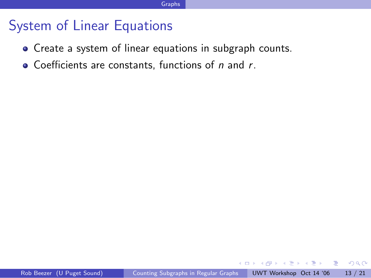- Create a system of linear equations in subgraph counts.
- $\bullet$  Coefficients are constants, functions of n and r.

 $\sim$ n an T≣ris

 $\leftarrow$ 

画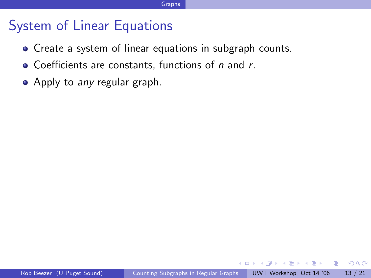- Create a system of linear equations in subgraph counts.
- $\bullet$  Coefficients are constants, functions of n and r.
- Apply to any regular graph.

 $\leftarrow$ 

ラメ メラメ

画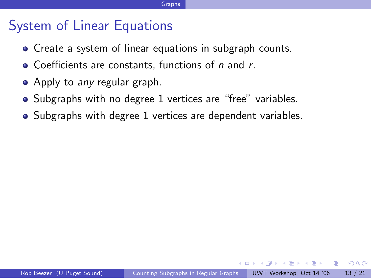- Create a system of linear equations in subgraph counts.
- $\bullet$  Coefficients are constants, functions of n and r.
- Apply to any regular graph.
- Subgraphs with no degree 1 vertices are "free" variables.
- Subgraphs with degree 1 vertices are dependent variables.

ラメ メラメ

 $\Omega$ æ.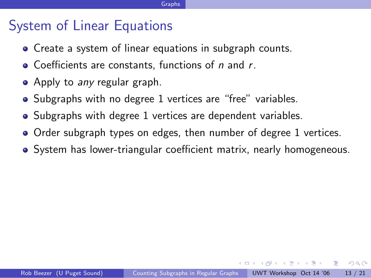- Create a system of linear equations in subgraph counts.
- $\bullet$  Coefficients are constants, functions of n and r.
- Apply to any regular graph.
- Subgraphs with no degree 1 vertices are "free" variables.
- Subgraphs with degree 1 vertices are dependent variables.
- Order subgraph types on edges, then number of degree 1 vertices.
- **•** System has lower-triangular coefficient matrix, nearly homogeneous.

化重复 化重变

 $QQ$ 

- 3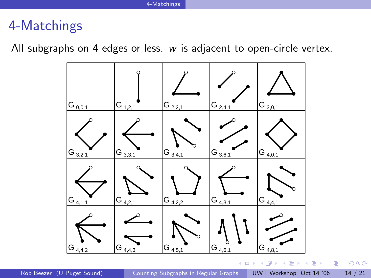All subgraphs on 4 edges or less. w is adjacent to open-circle vertex.



 $QQ$ 

Þ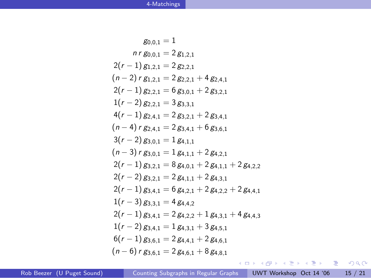$$
g_{0,0,1} = 1
$$
\n
$$
n r g_{0,0,1} = 2 g_{1,2,1}
$$
\n
$$
2(r-1) g_{1,2,1} = 2 g_{2,2,1}
$$
\n
$$
(n-2) r g_{1,2,1} = 2 g_{2,2,1} + 4 g_{2,4,1}
$$
\n
$$
2(r-1) g_{2,2,1} = 6 g_{3,0,1} + 2 g_{3,2,1}
$$
\n
$$
1(r-2) g_{2,2,1} = 3 g_{3,3,1}
$$
\n
$$
4(r-1) g_{2,4,1} = 2 g_{3,2,1} + 2 g_{3,4,1}
$$
\n
$$
(n-4) r g_{2,4,1} = 2 g_{3,4,1} + 6 g_{3,6,1}
$$
\n
$$
3(r-2) g_{3,0,1} = 1 g_{4,1,1}
$$
\n
$$
(n-3) r g_{3,0,1} = 1 g_{4,1,1} + 2 g_{4,2,1}
$$
\n
$$
2(r-1) g_{3,2,1} = 8 g_{4,0,1} + 2 g_{4,1,1} + 2 g_{4,2,2}
$$
\n
$$
2(r-2) g_{3,2,1} = 2 g_{4,1,1} + 2 g_{4,2,1}
$$
\n
$$
2(r-1) g_{3,4,1} = 6 g_{4,2,1} + 2 g_{4,2,2} + 2 g_{4,4,1}
$$
\n
$$
1(r-3) g_{3,3,1} = 4 g_{4,4,2}
$$
\n
$$
2(r-1) g_{3,4,1} = 2 g_{4,2,2} + 1 g_{4,3,1} + 4 g_{4,4,3}
$$
\n
$$
1(r-2) g_{3,4,1} = 1 g_{4,3,1} + 3 g_{4,5,1}
$$
\n
$$
6(r-1) g_{3,6,1} = 2 g_{4,6,1} + 8 g_{4,8,1}
$$
\n
$$
10 \cdot 6) r g_{3,6,1} = 2 g_{4,6,1} + 8 g_{4,8,1}
$$
\n
$$
10 \cdot 10 \cdot 10
$$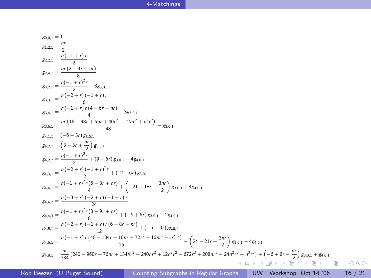g0,0,1 = 1  
\ng1,2,1 = 
$$
\frac{nr}{2}
$$
  
\ng2,2,1 =  $\frac{n(1 + r)r}{8}$   
\ng3,3,1 =  $\frac{n(2 - 4r + nr)}{6}$   
\ng3,3,1 =  $\frac{n(1 + r)^2r}{6}$  - 3g3,0,1  
\ng3,3,1 =  $\frac{n(1 + r)r(4 - 6r + nr)}{6}$   
\ng3,4,1 =  $\frac{n(16 - 48r + 6nr + 40r^2 - 12nr^2 + n^2r^2)}{48}$  - g3,0,1  
\ng4,1,1 =  $(-6 + 3r)\cancel{g_{3,0,1}}$   
\ng4,2,1 =  $(3 - 3r + \frac{rr}{2})$ g3,0,1  
\ng4,2,2 =  $\frac{n(-1 + r)^3r}{2} + (9 - 6r)\cancel{g_{3,0,1}}$  - 4g4,0,1  
\ng4,3,1 =  $\frac{n(-2 + r)(-1 + r)^2r}{4} + (12 - 6r)\cancel{g_{3,0,1}}$   
\ng4,4,2 =  $\frac{n(-2 + r)(-2 + r)(-1 + r)r}{4}$   
\ng4,4,3 =  $\frac{n(-3 + r)^2r(6 - 8r + nr)}{8}$  +  $(-21 + 18r - \frac{3nr}{2})$ g3,0,1 + 4g4,0,1  
\ng4,4,3 =  $\frac{n(-3 + r)(-2 + r)(-1 + r)r}{8}$   
\ng4,4,3 =  $\frac{n(-2 + r)(-1 + r)r(6 - 8r + nr)}{8}$  +  $(-6 + 3r)\cancel{g_{3,0,1}}$  + 2g4,0,1  
\ng4,6,1 =  $\frac{n(-2 + r)(-1 + r)r(6 - 8r + nr)}{12}$  +  $(-6 + 3r)\cancel{g_{3,0,1}}$  + 2g4,0,1  
\ng4,8,1 =  $\frac{n(1 + r)r(40 - 104r + 10nr + 72r^2 - 16nr^2 + n^2r^2)}{12}$  +  $(24 - 21r + \frac{3nr}{2})$ g3,0,1 - 4g4,0,1  
\ng4,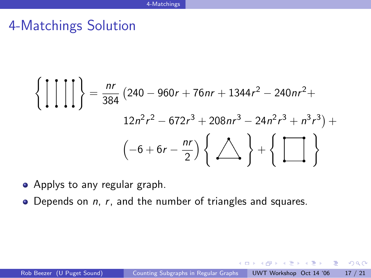# 4-Matchings Solution

$$
\left\{ \left[ \left[ \left[ \left[ \right] \right] \right] \right\} = \frac{nr}{384} \left( 240 - 960r + 76nr + 1344r^2 - 240nr^2 + 12n^2r^2 - 672r^3 + 208nr^3 - 24n^2r^3 + n^3r^3 \right) + \left( -6 + 6r - \frac{nr}{2} \right) \left\{ \bigtriangleup \right\} + \left\{ \left[ \bigcap_{n=1}^{n} \right] \right\}
$$

- Applys to any regular graph.
- $\bullet$  Depends on *n*, *r*, and the number of triangles and squares.

<span id="page-28-0"></span> $QQ$ 

D.

化重新润滑脂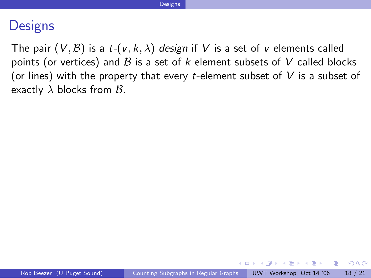### **Designs**

The pair  $(V, \mathcal{B})$  is a t- $(v, k, \lambda)$  design if V is a set of v elements called points (or vertices) and  $B$  is a set of  $k$  element subsets of  $V$  called blocks (or lines) with the property that every t-element subset of  $V$  is a subset of exactly  $\lambda$  blocks from  $\beta$ .

化重新润滑脂 医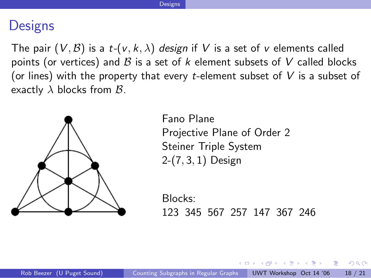### **Designs**

The pair  $(V, \mathcal{B})$  is a  $t-(v, k, \lambda)$  design if V is a set of v elements called points (or vertices) and  $B$  is a set of  $k$  element subsets of  $V$  called blocks (or lines) with the property that every t-element subset of  $V$  is a subset of exactly  $\lambda$  blocks from  $\beta$ .



Fano Plane Projective Plane of Order 2 Steiner Triple System 2-(7, 3, 1) Design

Blocks: 123 345 567 257 147 367 246

化重复 化重变

 $\Omega$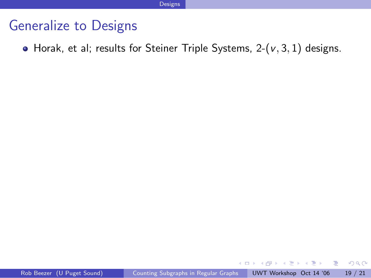#### Generalize to Designs

 $\bullet$  Horak, et al; results for Steiner Triple Systems, 2-( $v$ , 3, 1) designs.

4 0 8

 $QQ$ 

画

 $\rightarrow$   $\equiv$   $\rightarrow$ 

÷  $\sim$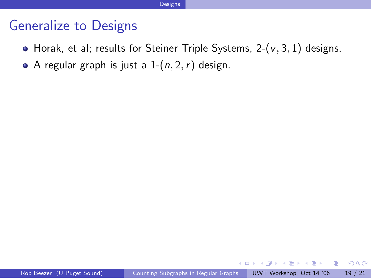### Generalize to Designs

- $\bullet$  Horak, et al; results for Steiner Triple Systems, 2-( $v$ , 3, 1) designs.
- A regular graph is just a  $1-(n, 2, r)$  design.

4 D F

ラメ メラメ

D.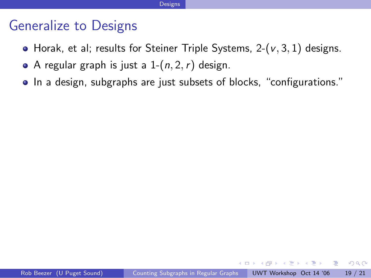### Generalize to Designs

- $\bullet$  Horak, et al; results for Steiner Triple Systems, 2-( $v$ , 3, 1) designs.
- A regular graph is just a  $1-(n, 2, r)$  design.
- In a design, subgraphs are just subsets of blocks, "configurations."

化重新润滑脂

 $QQ$ 

- 3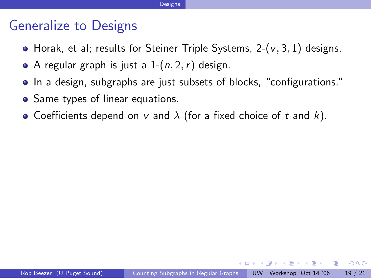### Generalize to Designs

- Horak, et al; results for Steiner Triple Systems,  $2-(v, 3, 1)$  designs.
- A regular graph is just a  $1-(n, 2, r)$  design.
- In a design, subgraphs are just subsets of blocks, "configurations."
- Same types of linear equations.
- Coefficients depend on v and  $\lambda$  (for a fixed choice of t and k).

化重压 化重压 医重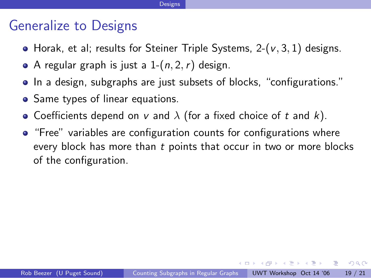### Generalize to Designs

- Horak, et al; results for Steiner Triple Systems,  $2-(v, 3, 1)$  designs.
- A regular graph is just a  $1-(n, 2, r)$  design.
- In a design, subgraphs are just subsets of blocks, "configurations."
- Same types of linear equations.
- Coefficients depend on v and  $\lambda$  (for a fixed choice of t and k).
- "Free" variables are configuration counts for configurations where every block has more than t points that occur in two or more blocks of the configuration.

イ押 トイヨ トイヨ トーヨー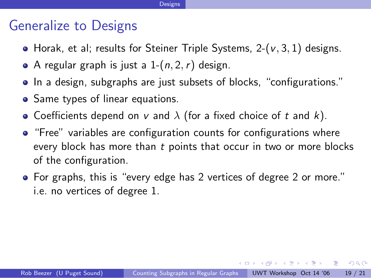### Generalize to Designs

- Horak, et al; results for Steiner Triple Systems,  $2-(v, 3, 1)$  designs.
- A regular graph is just a  $1-(n, 2, r)$  design.
- In a design, subgraphs are just subsets of blocks, "configurations."
- Same types of linear equations.
- Coefficients depend on v and  $\lambda$  (for a fixed choice of t and k).
- "Free" variables are configuration counts for configurations where every block has more than t points that occur in two or more blocks of the configuration.
- For graphs, this is "every edge has 2 vertices of degree 2 or more." i.e. no vertices of degree 1.

イ押 トイヨ トイヨ トーヨー

4 D F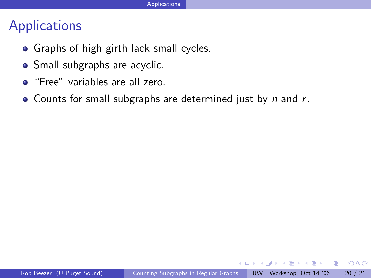# Applications

- Graphs of high girth lack small cycles.
- Small subgraphs are acyclic.
- **•** "Free" variables are all zero.
- Counts for small subgraphs are determined just by  $n$  and  $r$ .

 $\leftarrow$ 

ラメ メラメ

画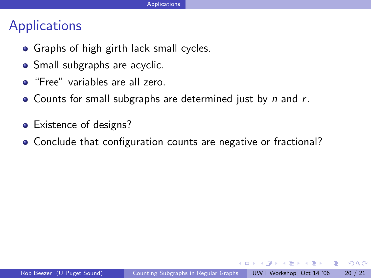## **Applications**

- Graphs of high girth lack small cycles.
- Small subgraphs are acyclic.
- "Free" variables are all zero.
- Counts for small subgraphs are determined just by  $n$  and  $r$ .
- Existence of designs?
- Conclude that configuration counts are negative or fractional?

ヨメ メヨメ

 $QQ$ 

÷